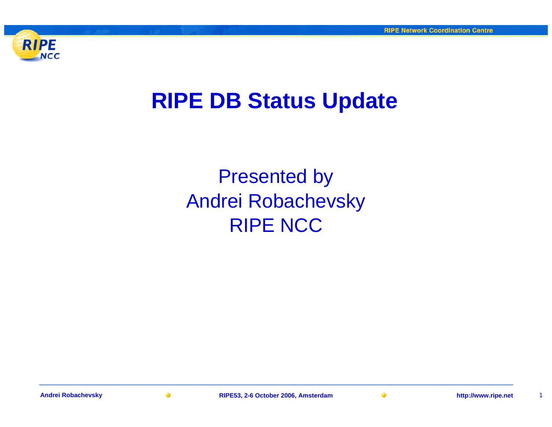

### **RIPE DB Status Update**

Presented by Andrei Robachevsky RIPE NCC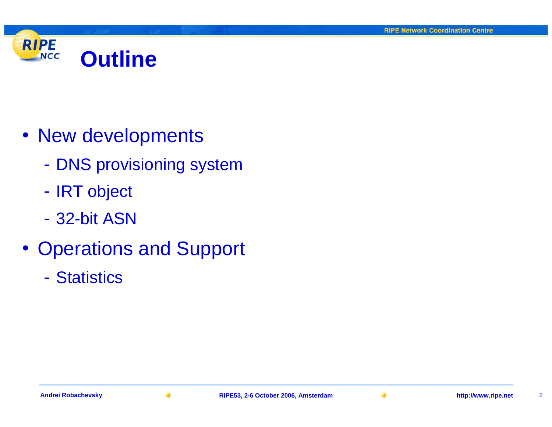

- New developments
	- $\mathcal{L}_{\mathcal{A}}$ - DNS provisioning system
	- $\mathcal{L}_{\mathcal{A}}$ - IRT object
	- 32-bit ASN
- Operations and Support
	- Statistics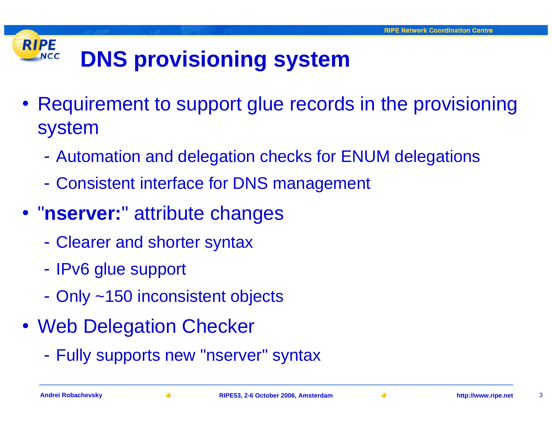#### **RIPE DNS provisioning system NCC**

- Requirement to support glue records in the provisioning system
	- $\mathcal{L}_{\mathcal{A}}$ Automation and delegation checks for ENUM delegations
	- $\mathcal{L}_{\mathcal{A}}$ Consistent interface for DNS management
- "**nserver:**" attribute changes
	- $\mathcal{L}_{\mathcal{A}}$ Clearer and shorter syntax
	- -- IPv6 glue support
	- $\mathcal{L}_{\mathcal{A}}$ Only ~150 inconsistent objects
- Web Delegation Checker
	- $\mathcal{L}_{\mathcal{A}}$ Fully supports new "nserver" syntax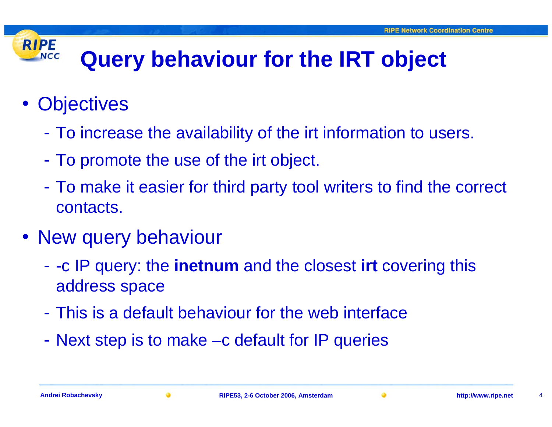## **Query behaviour for the IRT object**

• Objectives

**RIPE** 

**NCC** 

- $\mathcal{L}_{\mathcal{A}}$ To increase the availability of the irt information to users.
- $\mathcal{L}_{\mathcal{A}}$ To promote the use of the irt object.
- $\mathcal{L}_{\mathcal{A}}$  To make it easier for third party tool writers to find the correct contacts.
- New query behaviour
	- $\mathcal{L}_{\mathcal{A}}$  -c IP query: the **inetnum** and the closest **irt** covering this address space
	- This is a default behaviour for the web interface
	- $\mathcal{L}_{\mathcal{A}}$ Next step is to make –c default for IP queries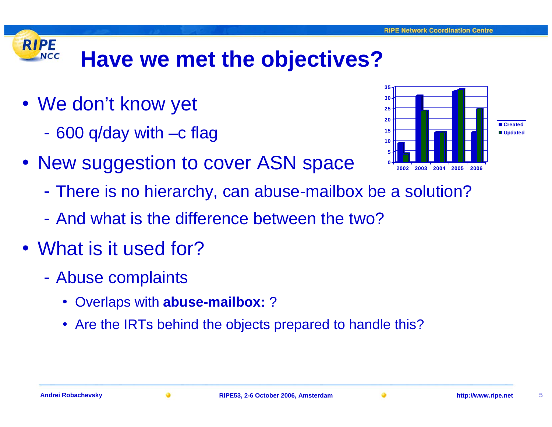#### **RIPE Have we met the objectives? NCC**

- We don't know yet
	- $\mathcal{L}_{\mathcal{A}}$ 600 q/day with –c flag
- New suggestion to cover ASN space



- $\mathcal{L}_{\mathcal{A}}$ There is no hierarchy, can abuse-mailbox be a solution?
- And what is the difference between the two?
- What is it used for?
	- $\mathcal{L}_{\mathcal{A}}$  Abuse complaints
		- Overlaps with **abuse-mailbox:** ?
		- Are the IRTs behind the objects prepared to handle this?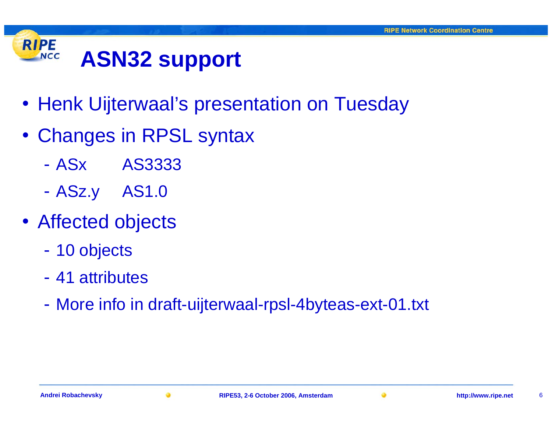#### **RIPE ASN32 support NCC**

- Henk Uijterwaal's presentation on Tuesday
- Changes in RPSL syntax
	- ASx AS3333
	- $\mathcal{L}_{\mathcal{A}}$ ASz.y AS1.0
- Affected objects
	- $\mathcal{L}_{\mathcal{A}}$ 10 objects
	- 41 attributes
	- $\mathcal{L}_{\mathcal{A}}$ More info in draft-uijterwaal-rpsl-4byteas-ext-01.txt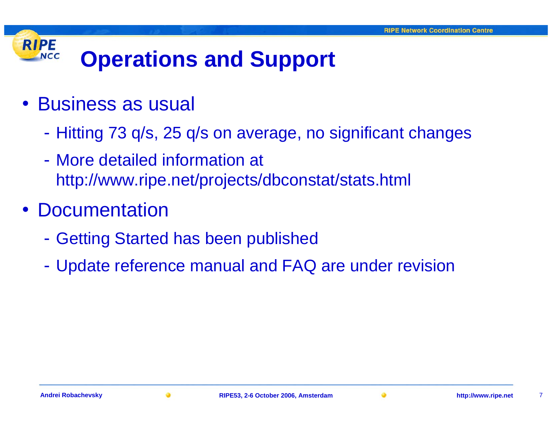#### **RIPE Operations and Support NCC**

- Business as usual
	- $\mathcal{L}_{\mathcal{A}}$ Hitting 73 q/s, 25 q/s on average, no significant changes
	- More detailed information at http://www.ripe.net/projects/dbconstat/stats.html
- •**Documentation** 
	- $\mathcal{L}_{\mathcal{A}}$ - Getting Started has been published
	- $\mathcal{L}_{\mathcal{A}}$ Update reference manual and FAQ are under revision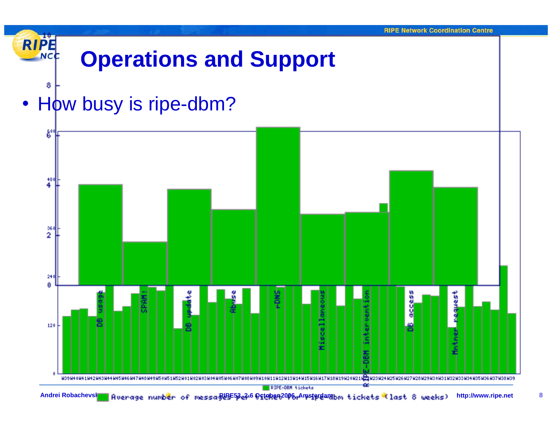

Andrei Robachevsky Ruerage number of messa RIPE53,2-6 October 2006, Amsterdambm tickets (last 8 weeks) http://www.ripe.net 8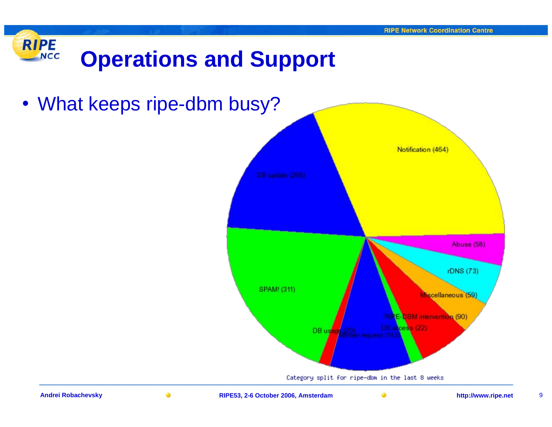



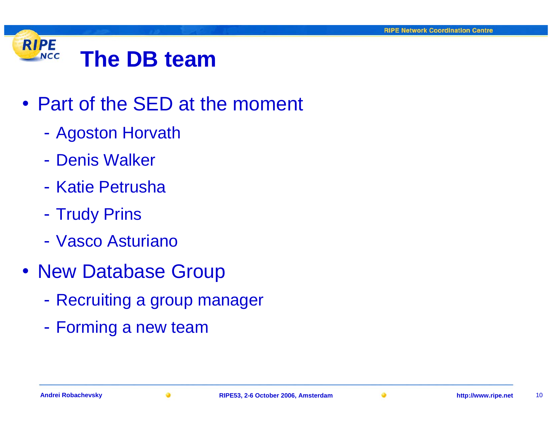#### **RIPE The DB teamNCC**

- Part of the SED at the moment
	- $\mathcal{L}_{\mathcal{A}}$ Agoston Horvath
	- Denis Walker
	- Katie Petrusha
	- $\mathcal{L}_{\mathcal{A}}$ - Trudy Prins
	- Vasco Asturiano
- New Database Group
	- $\mathcal{L}_{\mathcal{A}}$ Recruiting a group manager
	- $\mathcal{L}_{\mathcal{A}}$ Forming a new team